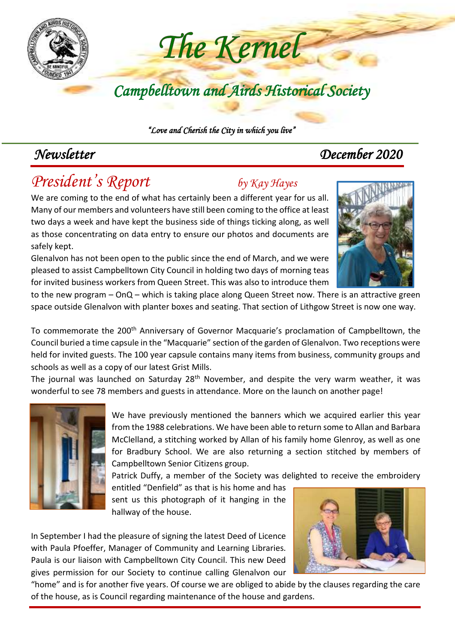

 *"Love and Cherish the City in which you live"* 

# *Newsletter December 2020*

# *President's Report by Kay Hayes*

We are coming to the end of what has certainly been a different year for us all. Many of our members and volunteers have still been coming to the office at least two days a week and have kept the business side of things ticking along, as well as those concentrating on data entry to ensure our photos and documents are safely kept.

Glenalvon has not been open to the public since the end of March, and we were pleased to assist Campbelltown City Council in holding two days of morning teas for invited business workers from Queen Street. This was also to introduce them



to the new program – OnQ – which is taking place along Queen Street now. There is an attractive green space outside Glenalvon with planter boxes and seating. That section of Lithgow Street is now one way.

To commemorate the 200<sup>th</sup> Anniversary of Governor Macquarie's proclamation of Campbelltown, the Council buried a time capsule in the "Macquarie" section of the garden of Glenalvon. Two receptions were held for invited guests. The 100 year capsule contains many items from business, community groups and schools as well as a copy of our latest Grist Mills.

The journal was launched on Saturday  $28<sup>th</sup>$  November, and despite the very warm weather, it was wonderful to see 78 members and guests in attendance. More on the launch on another page!



We have previously mentioned the banners which we acquired earlier this year from the 1988 celebrations. We have been able to return some to Allan and Barbara McClelland, a stitching worked by Allan of his family home Glenroy, as well as one for Bradbury School. We are also returning a section stitched by members of Campbelltown Senior Citizens group.

Patrick Duffy, a member of the Society was delighted to receive the embroidery

entitled "Denfield" as that is his home and has sent us this photograph of it hanging in the hallway of the house.

In September I had the pleasure of signing the latest Deed of Licence with Paula Pfoeffer, Manager of Community and Learning Libraries. Paula is our liaison with Campbelltown City Council. This new Deed gives permission for our Society to continue calling Glenalvon our



"home" and is for another five years. Of course we are obliged to abide by the clauses regarding the care of the house, as is Council regarding maintenance of the house and gardens.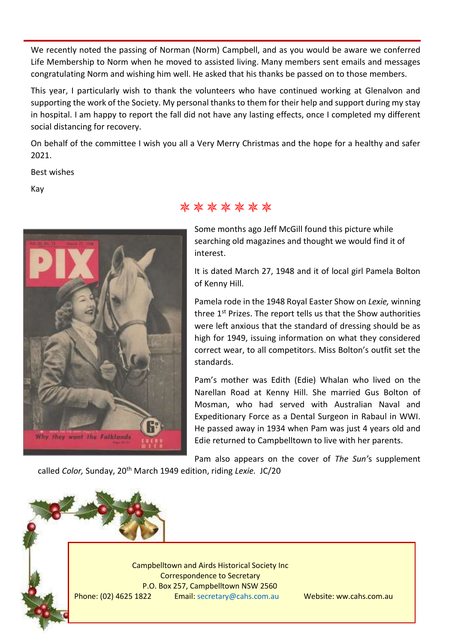We recently noted the passing of Norman (Norm) Campbell, and as you would be aware we conferred Life Membership to Norm when he moved to assisted living. Many members sent emails and messages congratulating Norm and wishing him well. He asked that his thanks be passed on to those members.

This year, I particularly wish to thank the volunteers who have continued working at Glenalvon and supporting the work of the Society. My personal thanks to them for their help and support during my stay in hospital. I am happy to report the fall did not have any lasting effects, once I completed my different social distancing for recovery.

On behalf of the committee I wish you all a Very Merry Christmas and the hope for a healthy and safer 2021.

Best wishes

Kay



#### \*\*\*\*\*\*\*

Some months ago Jeff McGill found this picture while searching old magazines and thought we would find it of interest.

It is dated March 27, 1948 and it of local girl Pamela Bolton of Kenny Hill.

Pamela rode in the 1948 Royal Easter Show on *Lexie,* winning three 1<sup>st</sup> Prizes. The report tells us that the Show authorities were left anxious that the standard of dressing should be as high for 1949, issuing information on what they considered correct wear, to all competitors. Miss Bolton's outfit set the standards.

Pam's mother was Edith (Edie) Whalan who lived on the Narellan Road at Kenny Hill. She married Gus Bolton of Mosman, who had served with Australian Naval and Expeditionary Force as a Dental Surgeon in Rabaul in WWI. He passed away in 1934 when Pam was just 4 years old and Edie returned to Campbelltown to live with her parents.

Pam also appears on the cover of *The Sun'*s supplement called *Color,* Sunday, 20th March 1949 edition, riding *Lexie.* JC/20

Campbelltown and Airds Historical Society Inc Correspondence to Secretary P.O. Box 257, Campbelltown NSW 2560 Phone: (02) 4625 1822 Email: [secretary@cahs.com.au](mailto:secretary@cahs.com.au) Website: ww.cahs.com.au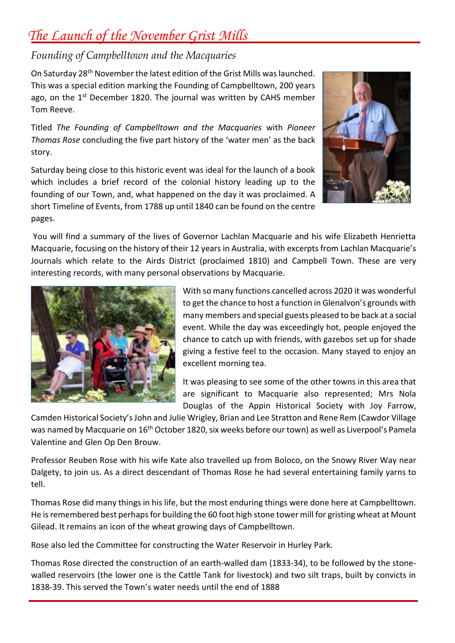## *The Launch of the November Grist Mills*

#### *Founding of Campbelltown and the Macquaries*

On Saturday 28th November the latest edition of the Grist Mills was launched. This was a special edition marking the Founding of Campbelltown, 200 years ago, on the  $1<sup>st</sup>$  December 1820. The journal was written by CAHS member Tom Reeve.

Titled *The Founding of Campbelltown and the Macquaries* with *Pioneer Thomas Rose* concluding the five part history of the 'water men' as the back story.

Saturday being close to this historic event was ideal for the launch of a book which includes a brief record of the colonial history leading up to the founding of our Town, and, what happened on the day it was proclaimed. A short Timeline of Events, from 1788 up until 1840 can be found on the centre pages.



You will find a summary of the lives of Governor Lachlan Macquarie and his wife Elizabeth Henrietta Macquarie, focusing on the history of their 12 years in Australia, with excerpts from Lachlan Macquarie's Journals which relate to the Airds District (proclaimed 1810) and Campbell Town. These are very interesting records, with many personal observations by Macquarie.



With so many functions cancelled across 2020 it was wonderful to get the chance to host a function in Glenalvon's grounds with many members and special guests pleased to be back at a social event. While the day was exceedingly hot, people enjoyed the chance to catch up with friends, with gazebos set up for shade giving a festive feel to the occasion. Many stayed to enjoy an excellent morning tea.

It was pleasing to see some of the other towns in this area that are significant to Macquarie also represented; Mrs Nola Douglas of the Appin Historical Society with Joy Farrow,

Camden Historical Society'sJohn and Julie Wrigley, Brian and Lee Stratton and Rene Rem (Cawdor Village was named by Macquarie on 16<sup>th</sup> October 1820, six weeks before our town) as well as Liverpool's Pamela Valentine and Glen Op Den Brouw.

Professor Reuben Rose with his wife Kate also travelled up from Boloco, on the Snowy River Way near Dalgety, to join us. As a direct descendant of Thomas Rose he had several entertaining family yarns to tell.

Thomas Rose did many things in his life, but the most enduring things were done here at Campbelltown. He is remembered best perhaps for building the 60 foot high stone tower mill for gristing wheat at Mount Gilead. It remains an icon of the wheat growing days of Campbelltown.

Rose also led the Committee for constructing the Water Reservoir in Hurley Park.

Thomas Rose directed the construction of an earth-walled dam (1833-34), to be followed by the stonewalled reservoirs (the lower one is the Cattle Tank for livestock) and two silt traps, built by convicts in 1838-39. This served the Town's water needs until the end of 1888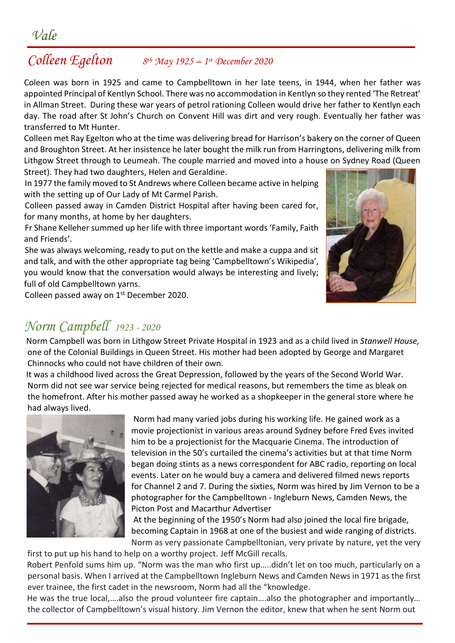#### *Colleen Egelton 8 th May 1925 – 1 st December 2020*

Coleen was born in 1925 and came to Campbelltown in her late teens, in 1944, when her father was appointed Principal of Kentlyn School. There was no accommodation in Kentlyn so they rented 'The Retreat' in Allman Street. During these war years of petrol rationing Colleen would drive her father to Kentlyn each day. The road after St John's Church on Convent Hill was dirt and very rough. Eventually her father was transferred to Mt Hunter.

Colleen met Ray Egelton who at the time was delivering bread for Harrison's bakery on the corner of Queen and Broughton Street. At her insistence he later bought the milk run from Harringtons, delivering milk from Lithgow Street through to Leumeah. The couple married and moved into a house on Sydney Road (Queen Street). They had two daughters, Helen and Geraldine.

 In 1977 the family moved to St Andrews where Colleen became active in helping with the setting up of Our Lady of Mt Carmel Parish.

 Colleen passed away in Camden District Hospital after having been cared for, for many months, at home by her daughters.

 Fr Shane Kelleher summed up her life with three important words 'Family, Faith and Friends'.

 She was always welcoming, ready to put on the kettle and make a cuppa and sit and talk, and with the other appropriate tag being 'Campbelltown's Wikipedia', you would know that the conversation would always be interesting and lively; full of old Campbelltown yarns.

Colleen passed away on 1<sup>st</sup> December 2020.

### *Norm Campbell 1923 - 2020*

Norm Campbell was born in Lithgow Street Private Hospital in 1923 and as a child lived in *Stanwell House,*  one of the Colonial Buildings in Queen Street. His mother had been adopted by George and Margaret Chinnocks who could not have children of their own.

It was a childhood lived across the Great Depression, followed by the years of the Second World War. Norm did not see war service being rejected for medical reasons, but remembers the time as bleak on the homefront. After his mother passed away he worked as a shopkeeper in the general store where he had always lived.



Norm had many varied jobs during his working life. He gained work as a movie projectionist in various areas around Sydney before Fred Eves invited him to be a projectionist for the Macquarie Cinema. The introduction of television in the 50's curtailed the cinema's activities but at that time Norm began doing stints as a news correspondent for ABC radio, reporting on local events. Later on he would buy a camera and delivered filmed news reports for Channel 2 and 7. During the sixties, Norm was hired by Jim Vernon to be a photographer for the Campbelltown - Ingleburn News, Camden News, the Picton Post and Macarthur Advertiser

At the beginning of the 1950's Norm had also joined the local fire brigade, becoming Captain in 1968 at one of the busiest and wide ranging of districts. Norm as very passionate Campbelltonian, very private by nature, yet the very

first to put up his hand to help on a worthy project. Jeff McGill recalls.

 Robert Penfold sums him up. "Norm was the man who first up…..didn't let on too much, particularly on a personal basis. When I arrived at the Campbelltown Ingleburn News and Camden News in 1971 as the first ever trainee, the first cadet in the newsroom, Norm had all the "knowledge.

 He was the true local,….also the proud volunteer fire captain….also the photographer and importantly… the collector of Campbelltown's visual history. Jim Vernon the editor, knew that when he sent Norm out